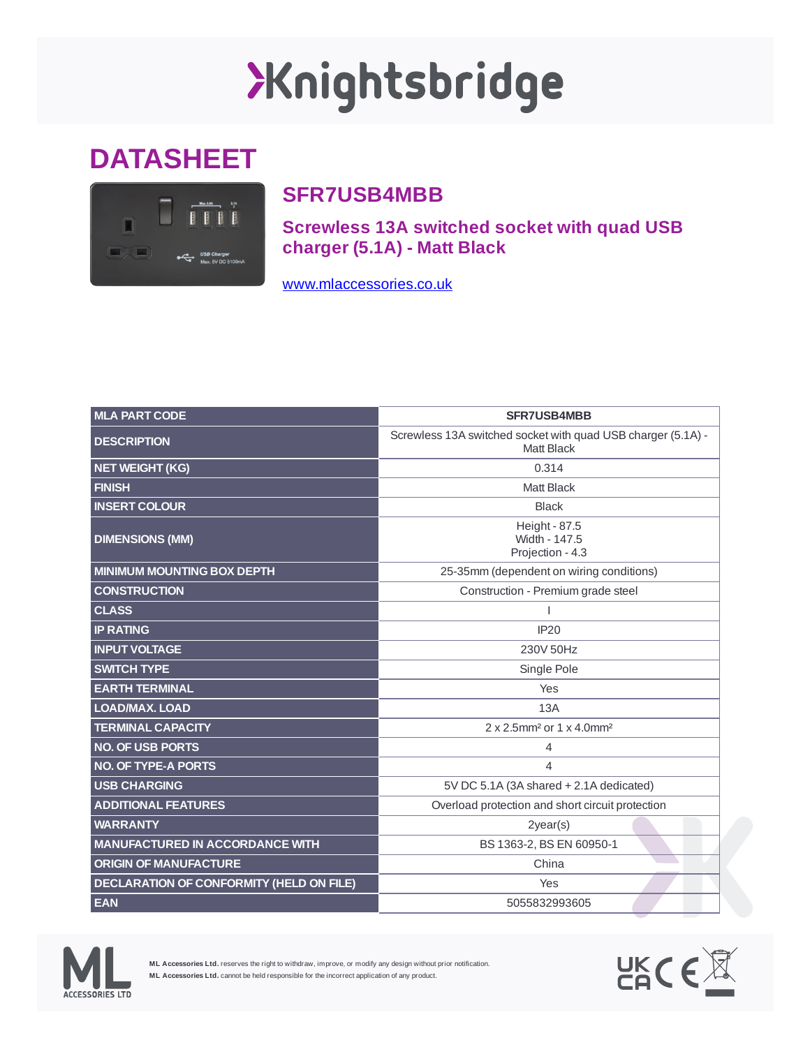## Xnightsbridge

## **DATASHEET**



## **SFR7USB4MBB**

**Screwless 13A switched socket with quad USB charger (5.1A) - Matt Black**

[www.mlaccessories.co.uk](https://www.mlaccessories.co.uk/)

| <b>MLA PART CODE</b>                            | <b>SFR7USB4MBB</b>                                                         |
|-------------------------------------------------|----------------------------------------------------------------------------|
| <b>DESCRIPTION</b>                              | Screwless 13A switched socket with quad USB charger (5.1A) -<br>Matt Black |
| <b>NET WEIGHT (KG)</b>                          | 0.314                                                                      |
| <b>FINISH</b>                                   | <b>Matt Black</b>                                                          |
| <b>INSERT COLOUR</b>                            | <b>Black</b>                                                               |
| <b>DIMENSIONS (MM)</b>                          | Height - 87.5<br>Width - 147.5<br>Projection - 4.3                         |
| <b>MINIMUM MOUNTING BOX DEPTH</b>               | 25-35mm (dependent on wiring conditions)                                   |
| <b>CONSTRUCTION</b>                             | Construction - Premium grade steel                                         |
| <b>CLASS</b>                                    |                                                                            |
| <b>IP RATING</b>                                | <b>IP20</b>                                                                |
| <b>INPUT VOLTAGE</b>                            | 230V 50Hz                                                                  |
| <b>SWITCH TYPE</b>                              | Single Pole                                                                |
| <b>EARTH TERMINAL</b>                           | Yes                                                                        |
| <b>LOAD/MAX, LOAD</b>                           | 13A                                                                        |
| <b>TERMINAL CAPACITY</b>                        | 2 x 2.5mm <sup>2</sup> or 1 x 4.0mm <sup>2</sup>                           |
| <b>NO. OF USB PORTS</b>                         | 4                                                                          |
| <b>NO. OF TYPE-A PORTS</b>                      | 4                                                                          |
| <b>USB CHARGING</b>                             | 5V DC 5.1A (3A shared + 2.1A dedicated)                                    |
| <b>ADDITIONAL FEATURES</b>                      | Overload protection and short circuit protection                           |
| <b>WARRANTY</b>                                 | $2$ year $(s)$                                                             |
| <b>MANUFACTURED IN ACCORDANCE WITH</b>          | BS 1363-2, BS EN 60950-1                                                   |
| <b>ORIGIN OF MANUFACTURE</b>                    | China                                                                      |
| <b>DECLARATION OF CONFORMITY (HELD ON FILE)</b> | Yes                                                                        |
| <b>EAN</b>                                      | 5055832993605                                                              |



**ML Accessories Ltd.** reserves the right to withdraw, improve, or modify any design without prior notification. **ML Accessories Ltd.** cannot be held responsible for the incorrect application of any product.